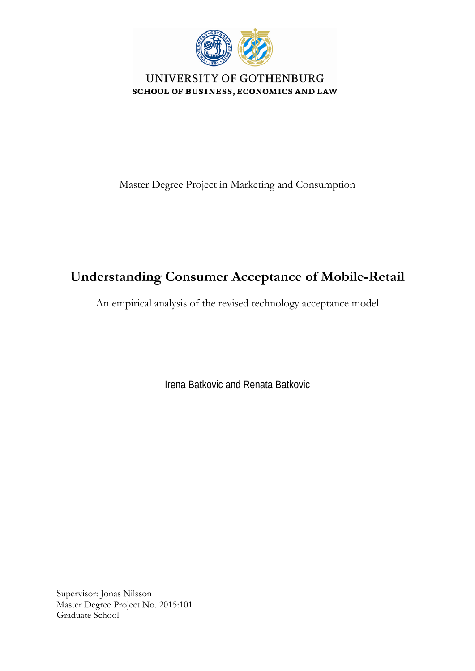

UNIVERSITY OF GOTHENBURG **SCHOOL OF BUSINESS, ECONOMICS AND LAW** 

Master Degree Project in Marketing and Consumption

# **Understanding Consumer Acceptance of Mobile-Retail**

An empirical analysis of the revised technology acceptance model

Irena Batkovic and Renata Batkovic

Supervisor: Jonas Nilsson Master Degree Project No. 2015:101 Graduate School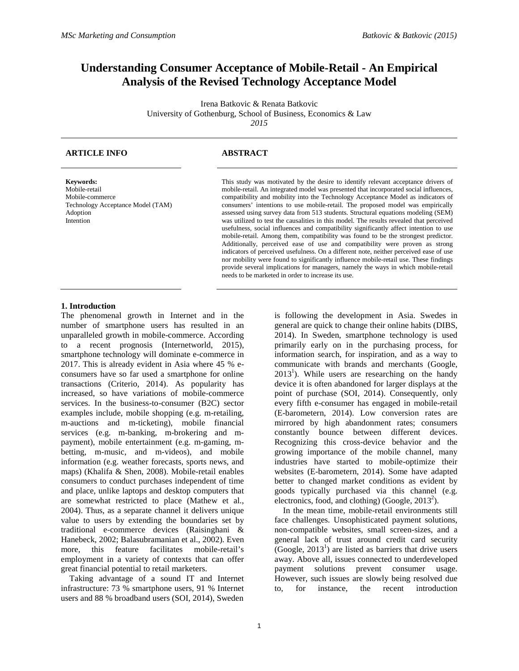## **Understanding Consumer Acceptance of Mobile-Retail - An Empirical Analysis of the Revised Technology Acceptance Model**

Irena Batkovic & Renata Batkovic University of Gothenburg, School of Business, Economics & Law *2015*

#### **ARTICLE INFO ABSTRACT**

**Keywords:**  Mobile-retail Mobile-commerce Technology Acceptance Model (TAM) Adoption Intention

This study was motivated by the desire to identify relevant acceptance drivers of mobile-retail. An integrated model was presented that incorporated social influences, compatibility and mobility into the Technology Acceptance Model as indicators of consumers' intentions to use mobile-retail. The proposed model was empirically assessed using survey data from 513 students. Structural equations modeling (SEM) was utilized to test the causalities in this model. The results revealed that perceived usefulness, social influences and compatibility significantly affect intention to use mobile-retail. Among them, compatibility was found to be the strongest predictor. Additionally, perceived ease of use and compatibility were proven as strong indicators of perceived usefulness. On a different note, neither perceived ease of use nor mobility were found to significantly influence mobile-retail use. These findings provide several implications for managers, namely the ways in which mobile-retail needs to be marketed in order to increase its use.

#### **1. Introduction**

The phenomenal growth in Internet and in the number of smartphone users has resulted in an unparalleled growth in mobile-commerce. According to a recent prognosis (Internetworld, 2015), smartphone technology will dominate e-commerce in 2017. This is already evident in Asia where 45 % econsumers have so far used a smartphone for online transactions (Criterio, 2014). As popularity has increased, so have variations of mobile-commerce services. In the business-to-consumer (B2C) sector examples include, mobile shopping (e.g. m-retailing, m-auctions and m-ticketing), mobile financial services (e.g. m-banking, m-brokering and mpayment), mobile entertainment (e.g. m-gaming, mbetting, m-music, and m-videos), and mobile information (e.g. weather forecasts, sports news, and maps) (Khalifa & Shen, 2008). Mobile-retail enables consumers to conduct purchases independent of time and place, unlike laptops and desktop computers that are somewhat restricted to place (Mathew et al., 2004). Thus, as a separate channel it delivers unique value to users by extending the boundaries set by traditional e-commerce devices (Raisinghani & Hanebeck, 2002; Balasubramanian et al., 2002). Even more, this feature facilitates mobile-retail's employment in a variety of contexts that can offer great financial potential to retail marketers.

 Taking advantage of a sound IT and Internet infrastructure: 73 % smartphone users, 91 % Internet users and 88 % broadband users (SOI, 2014), Sweden

is following the development in Asia. Swedes in general are quick to change their online habits (DIBS, 2014). In Sweden, smartphone technology is used primarily early on in the purchasing process, for information search, for inspiration, and as a way to communicate with brands and merchants (Google,  $2013<sup>1</sup>$ ). While users are researching on the handy device it is often abandoned for larger displays at the point of purchase (SOI, 2014). Consequently, only every fifth e-consumer has engaged in mobile-retail (E-barometern, 2014). Low conversion rates are mirrored by high abandonment rates; consumers constantly bounce between different devices. Recognizing this cross-device behavior and the growing importance of the mobile channel, many industries have started to mobile-optimize their websites (E-barometern, 2014). Some have adapted better to changed market conditions as evident by goods typically purchased via this channel (e.g. electronics, food, and clothing) (Google,  $2013^2$ ).

 In the mean time, mobile-retail environments still face challenges. Unsophisticated payment solutions, non-compatible websites, small screen-sizes, and a general lack of trust around credit card security  $(Google, 2013<sup>1</sup>)$  are listed as barriers that drive users away. Above all, issues connected to underdeveloped payment solutions prevent consumer usage. However, such issues are slowly being resolved due to, for instance, the recent introduction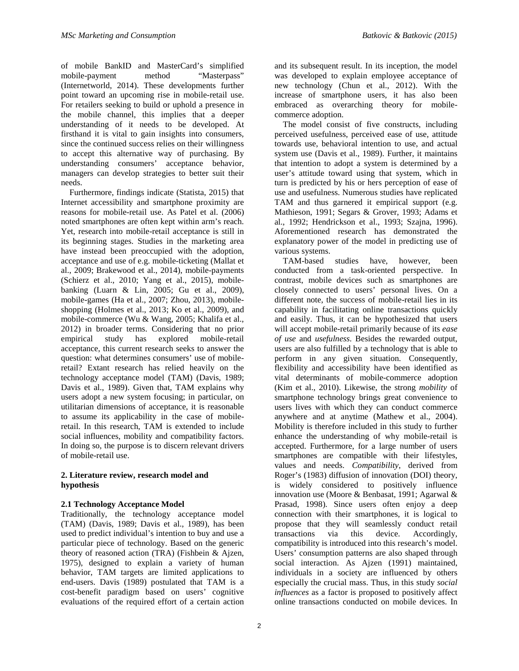of mobile BankID and MasterCard's simplified mobile-payment method "Masterpass" (Internetworld, 2014). These developments further point toward an upcoming rise in mobile-retail use. For retailers seeking to build or uphold a presence in the mobile channel, this implies that a deeper understanding of it needs to be developed. At firsthand it is vital to gain insights into consumers, since the continued success relies on their willingness to accept this alternative way of purchasing. By understanding consumers' acceptance behavior, managers can develop strategies to better suit their needs.

 Furthermore, findings indicate (Statista, 2015) that Internet accessibility and smartphone proximity are reasons for mobile-retail use. As Patel et al. (2006) noted smartphones are often kept within arm's reach. Yet, research into mobile-retail acceptance is still in its beginning stages. Studies in the marketing area have instead been preoccupied with the adoption, acceptance and use of e.g. mobile-ticketing (Mallat et al., 2009; Brakewood et al., 2014), mobile-payments (Schierz et al., 2010; Yang et al., 2015), mobilebanking (Luarn & Lin, 2005; Gu et al., 2009), mobile-games (Ha et al., 2007; Zhou, 2013), mobileshopping (Holmes et al., 2013; Ko et al., 2009), and mobile-commerce (Wu & Wang, 2005; Khalifa et al., 2012) in broader terms. Considering that no prior empirical study has explored mobile-retail acceptance, this current research seeks to answer the question: what determines consumers' use of mobileretail? Extant research has relied heavily on the technology acceptance model (TAM) (Davis, 1989; Davis et al., 1989). Given that, TAM explains why users adopt a new system focusing; in particular, on utilitarian dimensions of acceptance, it is reasonable to assume its applicability in the case of mobileretail. In this research, TAM is extended to include social influences, mobility and compatibility factors. In doing so, the purpose is to discern relevant drivers of mobile-retail use.

### **2. Literature review, research model and hypothesis**

### **2.1 Technology Acceptance Model**

Traditionally, the technology acceptance model (TAM) (Davis, 1989; Davis et al., 1989), has been used to predict individual's intention to buy and use a particular piece of technology. Based on the generic theory of reasoned action (TRA) (Fishbein & Ajzen, 1975), designed to explain a variety of human behavior, TAM targets are limited applications to end-users. Davis (1989) postulated that TAM is a cost-benefit paradigm based on users' cognitive evaluations of the required effort of a certain action

 The model consist of five constructs, including perceived usefulness, perceived ease of use, attitude towards use, behavioral intention to use, and actual system use (Davis et al., 1989). Further, it maintains that intention to adopt a system is determined by a user's attitude toward using that system, which in turn is predicted by his or hers perception of ease of use and usefulness. Numerous studies have replicated TAM and thus garnered it empirical support (e.g. Mathieson, 1991; Segars & Grover, 1993; Adams et al., 1992; Hendrickson et al., 1993; Szajna, 1996). Aforementioned research has demonstrated the explanatory power of the model in predicting use of various systems.

 TAM-based studies have, however, been conducted from a task-oriented perspective. In contrast, mobile devices such as smartphones are closely connected to users' personal lives. On a different note, the success of mobile-retail lies in its capability in facilitating online transactions quickly and easily. Thus, it can be hypothesized that users will accept mobile-retail primarily because of its *ease of use* and *usefulness*. Besides the rewarded output, users are also fulfilled by a technology that is able to perform in any given situation. Consequently, flexibility and accessibility have been identified as vital determinants of mobile-commerce adoption (Kim et al., 2010). Likewise, the strong *mobility* of smartphone technology brings great convenience to users lives with which they can conduct commerce anywhere and at anytime (Mathew et al., 2004). Mobility is therefore included in this study to further enhance the understanding of why mobile-retail is accepted. Furthermore, for a large number of users smartphones are compatible with their lifestyles, values and needs. *Compatibility*, derived from Roger's (1983) diffusion of innovation (DOI) theory, is widely considered to positively influence innovation use (Moore & Benbasat, 1991; Agarwal & Prasad, 1998). Since users often enjoy a deep connection with their smartphones, it is logical to propose that they will seamlessly conduct retail transactions via this device. Accordingly, compatibility is introduced into this research's model. Users' consumption patterns are also shaped through social interaction. As Ajzen (1991) maintained, individuals in a society are influenced by others especially the crucial mass. Thus, in this study *social influences* as a factor is proposed to positively affect online transactions conducted on mobile devices. In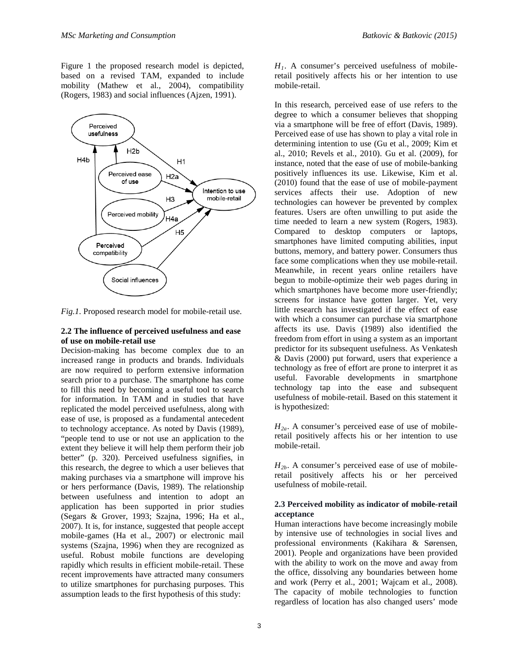Figure 1 the proposed research model is depicted, based on a revised TAM, expanded to include mobility (Mathew et al., 2004), compatibility (Rogers, 1983) and social influences (Ajzen, 1991).



*Fig.1.* Proposed research model for mobile-retail use.

#### **2.2 The influence of perceived usefulness and ease of use on mobile-retail use**

Decision-making has become complex due to an increased range in products and brands. Individuals are now required to perform extensive information search prior to a purchase. The smartphone has come to fill this need by becoming a useful tool to search for information. In TAM and in studies that have replicated the model perceived usefulness, along with ease of use, is proposed as a fundamental antecedent to technology acceptance. As noted by Davis (1989), "people tend to use or not use an application to the extent they believe it will help them perform their job better" (p. 320). Perceived usefulness signifies, in this research, the degree to which a user believes that making purchases via a smartphone will improve his or hers performance (Davis, 1989). The relationship between usefulness and intention to adopt an application has been supported in prior studies (Segars & Grover, 1993; Szajna, 1996; Ha et al., 2007). It is, for instance, suggested that people accept mobile-games (Ha et al., 2007) or electronic mail systems (Szajna, 1996) when they are recognized as useful. Robust mobile functions are developing rapidly which results in efficient mobile-retail. These recent improvements have attracted many consumers to utilize smartphones for purchasing purposes. This assumption leads to the first hypothesis of this study:

 $H_1$ . A consumer's perceived usefulness of mobileretail positively affects his or her intention to use mobile-retail.

In this research, perceived ease of use refers to the degree to which a consumer believes that shopping via a smartphone will be free of effort (Davis, 1989). Perceived ease of use has shown to play a vital role in determining intention to use (Gu et al., 2009; Kim et al., 2010; Revels et al., 2010). Gu et al. (2009), for instance, noted that the ease of use of mobile-banking positively influences its use. Likewise, Kim et al. (2010) found that the ease of use of mobile-payment services affects their use. Adoption of new technologies can however be prevented by complex features. Users are often unwilling to put aside the time needed to learn a new system (Rogers, 1983). Compared to desktop computers or laptops, smartphones have limited computing abilities, input buttons, memory, and battery power. Consumers thus face some complications when they use mobile-retail. Meanwhile, in recent years online retailers have begun to mobile-optimize their web pages during in which smartphones have become more user-friendly; screens for instance have gotten larger. Yet, very little research has investigated if the effect of ease with which a consumer can purchase via smartphone affects its use. Davis (1989) also identified the freedom from effort in using a system as an important predictor for its subsequent usefulness. As Venkatesh & Davis (2000) put forward, users that experience a technology as free of effort are prone to interpret it as useful. Favorable developments in smartphone technology tap into the ease and subsequent usefulness of mobile-retail. Based on this statement it is hypothesized:

 $H_{2a}$ . A consumer's perceived ease of use of mobileretail positively affects his or her intention to use mobile-retail.

*H2b*. A consumer's perceived ease of use of mobileretail positively affects his or her perceived usefulness of mobile-retail.

#### **2.3 Perceived mobility as indicator of mobile-retail acceptance**

Human interactions have become increasingly mobile by intensive use of technologies in social lives and professional environments (Kakihara & Sørensen, 2001). People and organizations have been provided with the ability to work on the move and away from the office, dissolving any boundaries between home and work (Perry et al., 2001; Wajcam et al., 2008). The capacity of mobile technologies to function regardless of location has also changed users' mode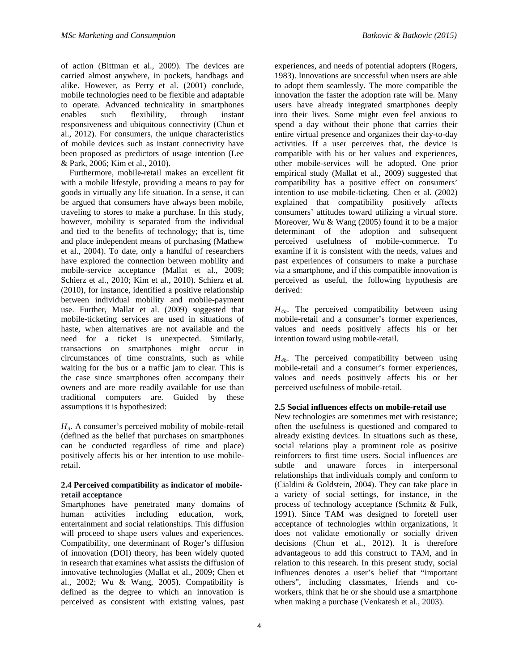of action (Bittman et al., 2009). The devices are carried almost anywhere, in pockets, handbags and alike. However, as Perry et al. (2001) conclude, mobile technologies need to be flexible and adaptable to operate. Advanced technicality in smartphones enables such flexibility, through instant responsiveness and ubiquitous connectivity (Chun et al., 2012). For consumers, the unique characteristics of mobile devices such as instant connectivity have been proposed as predictors of usage intention (Lee & Park, 2006; Kim et al., 2010).

 Furthermore, mobile-retail makes an excellent fit with a mobile lifestyle, providing a means to pay for goods in virtually any life situation. In a sense, it can be argued that consumers have always been mobile, traveling to stores to make a purchase. In this study, however, mobility is separated from the individual and tied to the benefits of technology; that is, time and place independent means of purchasing (Mathew et al., 2004). To date, only a handful of researchers have explored the connection between mobility and mobile-service acceptance (Mallat et al., 2009; Schierz et al., 2010; Kim et al., 2010). Schierz et al. (2010), for instance, identified a positive relationship between individual mobility and mobile-payment use. Further, Mallat et al. (2009) suggested that mobile-ticketing services are used in situations of haste, when alternatives are not available and the need for a ticket is unexpected. Similarly, transactions on smartphones might occur in circumstances of time constraints, such as while waiting for the bus or a traffic jam to clear. This is the case since smartphones often accompany their owners and are more readily available for use than traditional computers are. Guided by these assumptions it is hypothesized:

*H3.* A consumer's perceived mobility of mobile-retail (defined as the belief that purchases on smartphones can be conducted regardless of time and place) positively affects his or her intention to use mobileretail.

#### **2.4 Perceived compatibility as indicator of mobileretail acceptance**

Smartphones have penetrated many domains of human activities including education, work, entertainment and social relationships. This diffusion will proceed to shape users values and experiences. Compatibility, one determinant of Roger's diffusion of innovation (DOI) theory, has been widely quoted in research that examines what assists the diffusion of innovative technologies (Mallat et al., 2009; Chen et al., 2002; Wu & Wang, 2005). Compatibility is defined as the degree to which an innovation is perceived as consistent with existing values, past

experiences, and needs of potential adopters (Rogers, 1983). Innovations are successful when users are able to adopt them seamlessly. The more compatible the innovation the faster the adoption rate will be. Many users have already integrated smartphones deeply into their lives. Some might even feel anxious to spend a day without their phone that carries their entire virtual presence and organizes their day-to-day activities. If a user perceives that, the device is compatible with his or her values and experiences, other mobile-services will be adopted. One prior empirical study (Mallat et al., 2009) suggested that compatibility has a positive effect on consumers' intention to use mobile-ticketing. Chen et al. (2002) explained that compatibility positively affects consumers' attitudes toward utilizing a virtual store. Moreover, Wu & Wang (2005) found it to be a major determinant of the adoption and subsequent perceived usefulness of mobile-commerce. To examine if it is consistent with the needs, values and past experiences of consumers to make a purchase via a smartphone, and if this compatible innovation is perceived as useful, the following hypothesis are derived:

*H4a.* The perceived compatibility between using mobile-retail and a consumer's former experiences, values and needs positively affects his or her intention toward using mobile-retail.

*H4b.* The perceived compatibility between using mobile-retail and a consumer's former experiences, values and needs positively affects his or her perceived usefulness of mobile-retail.

#### **2.5 Social influences effects on mobile-retail use**

New technologies are sometimes met with resistance; often the usefulness is questioned and compared to already existing devices. In situations such as these, social relations play a prominent role as positive reinforcers to first time users. Social influences are subtle and unaware forces in interpersonal relationships that individuals comply and conform to (Cialdini & Goldstein, 2004). They can take place in a variety of social settings, for instance, in the process of technology acceptance (Schmitz & Fulk, 1991). Since TAM was designed to foretell user acceptance of technologies within organizations, it does not validate emotionally or socially driven decisions (Chun et al., 2012). It is therefore advantageous to add this construct to TAM, and in relation to this research. In this present study, social influences denotes a user's belief that "important others", including classmates, friends and coworkers, think that he or she should use a smartphone when making a purchase (Venkatesh et al., 2003).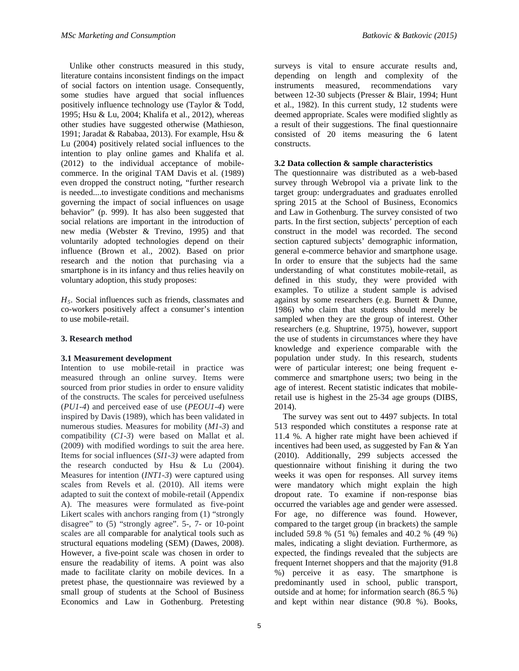Unlike other constructs measured in this study, literature contains inconsistent findings on the impact of social factors on intention usage. Consequently, some studies have argued that social influences positively influence technology use (Taylor & Todd, 1995; Hsu & Lu, 2004; Khalifa et al., 2012), whereas other studies have suggested otherwise (Mathieson, 1991; Jaradat & Rababaa, 2013). For example, Hsu & Lu (2004) positively related social influences to the intention to play online games and Khalifa et al. (2012) to the individual acceptance of mobilecommerce. In the original TAM Davis et al. (1989) even dropped the construct noting, "further research is needed....to investigate conditions and mechanisms governing the impact of social influences on usage behavior" (p. 999). It has also been suggested that social relations are important in the introduction of new media (Webster & Trevino, 1995) and that voluntarily adopted technologies depend on their influence (Brown et al., 2002). Based on prior research and the notion that purchasing via a smartphone is in its infancy and thus relies heavily on voluntary adoption, this study proposes:

*H5.* Social influences such as friends, classmates and co-workers positively affect a consumer's intention to use mobile-retail.

#### **3. Research method**

#### **3.1 Measurement development**

Intention to use mobile-retail in practice was measured through an online survey. Items were sourced from prior studies in order to ensure validity of the constructs. The scales for perceived usefulness (*PU1-4*) and perceived ease of use (*PEOU1-4*) were inspired by Davis (1989), which has been validated in numerous studies. Measures for mobility (*M1-3*) and compatibility (*C1-3*) were based on Mallat et al. (2009) with modified wordings to suit the area here. Items for social influences (*SI1-3)* were adapted from the research conducted by Hsu & Lu (2004). Measures for intention (*INT1-3*) were captured using scales from Revels et al. (2010). All items were adapted to suit the context of mobile-retail (Appendix A). The measures were formulated as five-point Likert scales with anchors ranging from (1) "strongly disagree" to (5) "strongly agree". 5-, 7- or 10-point scales are all comparable for analytical tools such as structural equations modeling (SEM) (Dawes, 2008). However, a five-point scale was chosen in order to ensure the readability of items. A point was also made to facilitate clarity on mobile devices. In a pretest phase, the questionnaire was reviewed by a small group of students at the School of Business Economics and Law in Gothenburg. Pretesting

surveys is vital to ensure accurate results and, depending on length and complexity of the instruments measured, recommendations vary between 12-30 subjects (Presser & Blair, 1994; Hunt et al., 1982). In this current study, 12 students were deemed appropriate. Scales were modified slightly as a result of their suggestions. The final questionnaire consisted of 20 items measuring the 6 latent constructs.

#### **3.2 Data collection & sample characteristics**

The questionnaire was distributed as a web-based survey through Webropol via a private link to the target group: undergraduates and graduates enrolled spring 2015 at the School of Business, Economics and Law in Gothenburg. The survey consisted of two parts. In the first section, subjects' perception of each construct in the model was recorded. The second section captured subjects' demographic information, general e-commerce behavior and smartphone usage. In order to ensure that the subjects had the same understanding of what constitutes mobile-retail, as defined in this study, they were provided with examples. To utilize a student sample is advised against by some researchers (e.g. Burnett & Dunne, 1986) who claim that students should merely be sampled when they are the group of interest. Other researchers (e.g. Shuptrine, 1975), however, support the use of students in circumstances where they have knowledge and experience comparable with the population under study. In this research, students were of particular interest; one being frequent ecommerce and smartphone users; two being in the age of interest. Recent statistic indicates that mobileretail use is highest in the 25-34 age groups (DIBS, 2014).

 The survey was sent out to 4497 subjects. In total 513 responded which constitutes a response rate at 11.4 %. A higher rate might have been achieved if incentives had been used, as suggested by Fan & Yan (2010). Additionally, 299 subjects accessed the questionnaire without finishing it during the two weeks it was open for responses. All survey items were mandatory which might explain the high dropout rate. To examine if non-response bias occurred the variables age and gender were assessed. For age, no difference was found. However, compared to the target group (in brackets) the sample included 59.8 % (51 %) females and 40.2 % (49 %) males, indicating a slight deviation. Furthermore, as expected, the findings revealed that the subjects are frequent Internet shoppers and that the majority (91.8 %) perceive it as easy. The smartphone is predominantly used in school, public transport, outside and at home; for information search (86.5 %) and kept within near distance (90.8 %). Books,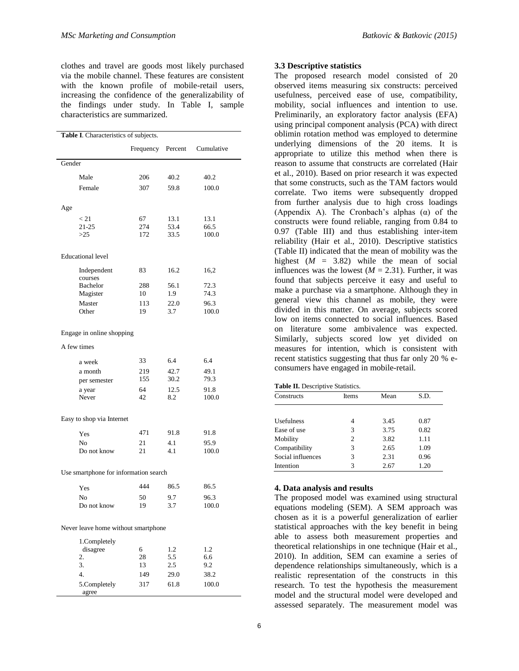clothes and travel are goods most likely purchased via the mobile channel. These features are consistent with the known profile of mobile-retail users, increasing the confidence of the generalizability of the findings under study. In Table I, sample characteristics are summarized.

| Table I. Characteristics of subjects. |                           |           |             |               |  |  |
|---------------------------------------|---------------------------|-----------|-------------|---------------|--|--|
|                                       |                           | Frequency | Percent     | Cumulative    |  |  |
| Gender                                |                           |           |             |               |  |  |
| Male                                  |                           | 206       | 40.2        | 40.2          |  |  |
|                                       | Female                    | 307       | 59.8        | 100.0         |  |  |
|                                       |                           |           |             |               |  |  |
| Age                                   |                           |           |             |               |  |  |
| < 21                                  |                           | 67        | 13.1        | 13.1          |  |  |
| 21-25                                 |                           | 274       | 53.4        | 66.5          |  |  |
| >25                                   |                           | 172       | 33.5        | 100.0         |  |  |
| <b>Educational</b> level              |                           |           |             |               |  |  |
|                                       | Independent               | 83        | 16.2        | 16,2          |  |  |
|                                       | courses                   |           |             |               |  |  |
|                                       | <b>Bachelor</b>           | 288       | 56.1        | 72.3          |  |  |
|                                       | Magister                  | 10        | 1.9         | 74.3          |  |  |
| Other                                 | Master                    | 113<br>19 | 22.0<br>3.7 | 96.3<br>100.0 |  |  |
|                                       |                           |           |             |               |  |  |
|                                       | Engage in online shopping |           |             |               |  |  |
| A few times                           |                           |           |             |               |  |  |
|                                       | a week                    | 33        | 6.4         | 6.4           |  |  |
|                                       | a month                   | 219       | 42.7        | 49.1          |  |  |
|                                       | per semester              | 155       | 30.2        | 79.3          |  |  |
| a year                                |                           | 64        | 12.5        | 91.8          |  |  |
| Never                                 |                           | 42        | 8.2         | 100.0         |  |  |
|                                       | Easy to shop via Internet |           |             |               |  |  |
| Yes                                   |                           | 471       | 91.8        | 91.8          |  |  |
| No                                    |                           | 21        | 4.1         | 95.9          |  |  |
|                                       | Do not know               | 21        | 4.1         | 100.0         |  |  |
| Use smartphone for information search |                           |           |             |               |  |  |
| Yes                                   |                           | 444       | 86.5        | 86.5          |  |  |
| No                                    |                           | 50        | 9.7         | 96.3          |  |  |
|                                       | Do not know               | 19        | 3.7         | 100.0         |  |  |
|                                       |                           |           |             |               |  |  |
| Never leave home without smartphone   |                           |           |             |               |  |  |
|                                       | 1.Completely              |           |             |               |  |  |
|                                       | disagree                  | 6<br>28   | 1.2<br>5.5  | 1.2<br>6.6    |  |  |
| 2.<br>3.                              |                           | 13        | 2.5         | 9.2           |  |  |
| 4.                                    |                           | 149       | 29.0        | 38.2          |  |  |
|                                       | 5.Completely              | 317       | 61.8        | 100.0         |  |  |
|                                       | agree                     |           |             |               |  |  |

#### **3.3 Descriptive statistics**

The proposed research model consisted of 20 observed items measuring six constructs: perceived usefulness, perceived ease of use, compatibility, mobility, social influences and intention to use. Preliminarily, an exploratory factor analysis (EFA) using principal component analysis (PCA) with direct oblimin rotation method was employed to determine underlying dimensions of the 20 items. It is appropriate to utilize this method when there is reason to assume that constructs are correlated (Hair et al., 2010). Based on prior research it was expected that some constructs, such as the TAM factors would correlate. Two items were subsequently dropped from further analysis due to high cross loadings (Appendix A). The Cronbach's alphas  $(\alpha)$  of the constructs were found reliable, ranging from 0.84 to 0.97 (Table III) and thus establishing inter-item reliability (Hair et al., 2010). Descriptive statistics (Table II) indicated that the mean of mobility was the highest  $(M = 3.82)$  while the mean of social influences was the lowest  $(M = 2.31)$ . Further, it was found that subjects perceive it easy and useful to make a purchase via a smartphone. Although they in general view this channel as mobile, they were divided in this matter. On average, subjects scored low on items connected to social influences. Based on literature some ambivalence was expected. Similarly, subjects scored low yet divided on measures for intention, which is consistent with recent statistics suggesting that thus far only 20 % econsumers have engaged in mobile-retail.

| <b>Table II.</b> Descriptive Statistics. |  |
|------------------------------------------|--|
|------------------------------------------|--|

| Constructs        | Items | Mean | S.D. |  |
|-------------------|-------|------|------|--|
|                   |       |      |      |  |
| <b>Usefulness</b> | 4     | 3.45 | 0.87 |  |
| Ease of use       | 3     | 3.75 | 0.82 |  |
| Mobility          | 2     | 3.82 | 1.11 |  |
| Compatibility     | 3     | 2.65 | 1.09 |  |
| Social influences | 3     | 2.31 | 0.96 |  |
| Intention         | 3     | 2.67 | 1.20 |  |

#### **4. Data analysis and results**

The proposed model was examined using structural equations modeling (SEM). A SEM approach was chosen as it is a powerful generalization of earlier statistical approaches with the key benefit in being able to assess both measurement properties and theoretical relationships in one technique (Hair et al., 2010). In addition, SEM can examine a series of dependence relationships simultaneously, which is a realistic representation of the constructs in this research. To test the hypothesis the measurement model and the structural model were developed and assessed separately. The measurement model was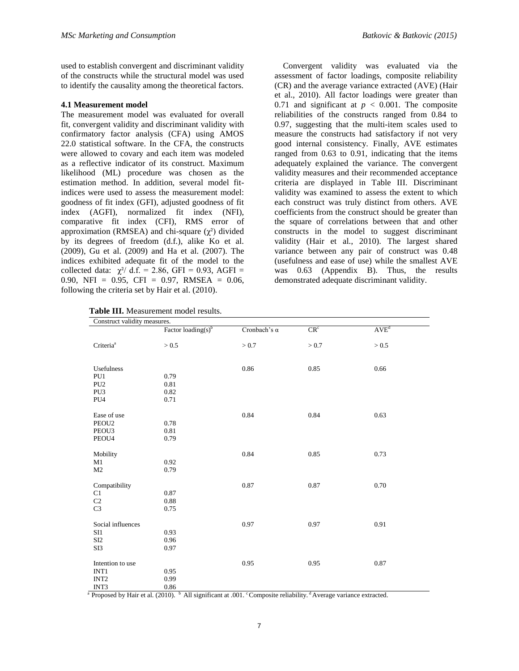used to establish convergent and discriminant validity of the constructs while the structural model was used to identify the causality among the theoretical factors.

#### **4.1 Measurement model**

The measurement model was evaluated for overall fit, convergent validity and discriminant validity with confirmatory factor analysis (CFA) using AMOS 22.0 statistical software. In the CFA, the constructs were allowed to covary and each item was modeled as a reflective indicator of its construct. Maximum likelihood (ML) procedure was chosen as the estimation method. In addition, several model fitindices were used to assess the measurement model: goodness of fit index (GFI), adjusted goodness of fit index (AGFI), normalized fit index (NFI), comparative fit index (CFI), RMS error of approximation (RMSEA) and chi-square  $(\chi^2)$  divided by its degrees of freedom (d.f.), alike Ko et al. (2009), Gu et al. (2009) and Ha et al. (2007). The indices exhibited adequate fit of the model to the collected data:  $\gamma^2$  d.f. = 2.86, GFI = 0.93, AGFI = 0.90, NFI =  $0.95$ , CFI = 0.97, RMSEA = 0.06, following the criteria set by Hair et al. (2010).

**Table III.** Measurement model results.

 Convergent validity was evaluated via the assessment of factor loadings, composite reliability (CR) and the average variance extracted (AVE) (Hair et al., 2010). All factor loadings were greater than 0.71 and significant at  $p < 0.001$ . The composite reliabilities of the constructs ranged from 0.84 to 0.97, suggesting that the multi-item scales used to measure the constructs had satisfactory if not very good internal consistency. Finally, AVE estimates ranged from 0.63 to 0.91, indicating that the items adequately explained the variance. The convergent validity measures and their recommended acceptance criteria are displayed in Table III. Discriminant validity was examined to assess the extent to which each construct was truly distinct from others. AVE coefficients from the construct should be greater than the square of correlations between that and other constructs in the model to suggest discriminant validity (Hair et al., 2010). The largest shared variance between any pair of construct was 0.48 (usefulness and ease of use) while the smallest AVE was 0.63 (Appendix B). Thus, the results demonstrated adequate discriminant validity.

| Construct validity measures. |                                |                     |                 |           |
|------------------------------|--------------------------------|---------------------|-----------------|-----------|
|                              | Factor loading(s) <sup>b</sup> | Cronbach's $\alpha$ | CR <sup>c</sup> | $AVE^{d}$ |
| Criteria <sup>a</sup>        | $>0.5$                         | > 0.7               | > 0.7           | $> 0.5$   |
| Usefulness                   |                                | 0.86                | 0.85            | 0.66      |
| PU1                          | 0.79                           |                     |                 |           |
| PU <sub>2</sub>              | 0.81                           |                     |                 |           |
| PU3                          | 0.82                           |                     |                 |           |
| PU4                          | 0.71                           |                     |                 |           |
| Ease of use                  |                                | 0.84                | 0.84            | 0.63      |
| PEOU <sub>2</sub>            | 0.78                           |                     |                 |           |
| PEOU3                        | 0.81                           |                     |                 |           |
| PEOU4                        | 0.79                           |                     |                 |           |
|                              |                                |                     |                 |           |
| Mobility                     |                                | 0.84                | 0.85            | 0.73      |
| M1                           | 0.92                           |                     |                 |           |
| M2                           | 0.79                           |                     |                 |           |
| Compatibility                |                                | 0.87                | 0.87            | 0.70      |
| C1                           | 0.87                           |                     |                 |           |
| C2                           | 0.88                           |                     |                 |           |
| C <sub>3</sub>               | 0.75                           |                     |                 |           |
|                              |                                |                     |                 |           |
| Social influences            |                                | 0.97                | 0.97            | 0.91      |
| SI1                          | 0.93                           |                     |                 |           |
| SI2                          | 0.96                           |                     |                 |           |
| SI3                          | 0.97                           |                     |                 |           |
|                              |                                |                     |                 |           |
| Intention to use             |                                | 0.95                | 0.95            | 0.87      |
| INT1                         | 0.95                           |                     |                 |           |
| INT <sub>2</sub>             | 0.99                           |                     |                 |           |
| INT3                         | 0.86                           |                     |                 |           |

 $\frac{1}{2}$  Proposed by Hair et al. (2010).  $\frac{1}{2}$  All significant at .001. Composite reliability.  $\frac{1}{2}$  Average variance extracted.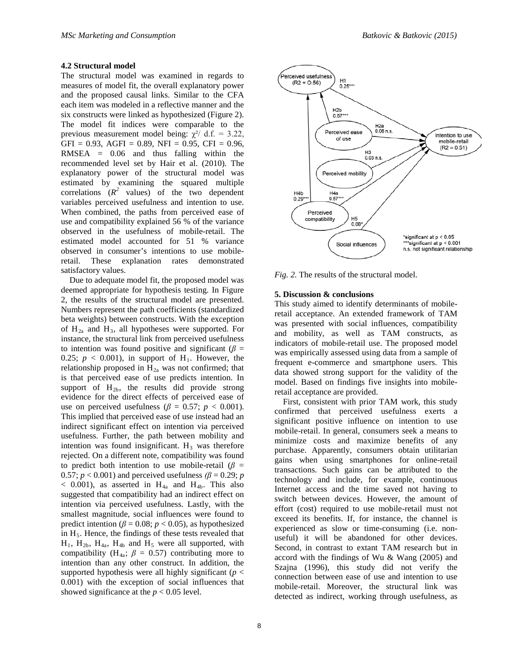#### **4.2 Structural model**

The structural model was examined in regards to measures of model fit, the overall explanatory power and the proposed causal links. Similar to the CFA each item was modeled in a reflective manner and the six constructs were linked as hypothesized (Figure 2). The model fit indices were comparable to the previous measurement model being:  $\gamma^2$  d.f. = 3.22,  $GFI = 0.93$ ,  $AGFI = 0.89$ ,  $NFI = 0.95$ ,  $CFI = 0.96$ , RMSEA = 0.06 and thus falling within the recommended level set by Hair et al. (2010). The explanatory power of the structural model was estimated by examining the squared multiple correlations  $(R^2 \text{ values})$  of the two dependent variables perceived usefulness and intention to use. When combined, the paths from perceived ease of use and compatibility explained 56 % of the variance observed in the usefulness of mobile-retail. The estimated model accounted for 51 % variance observed in consumer's intentions to use mobileretail. These explanation rates demonstrated satisfactory values.

 Due to adequate model fit, the proposed model was deemed appropriate for hypothesis testing. In Figure 2, the results of the structural model are presented. Numbers represent the path coefficients (standardized beta weights) between constructs. With the exception of H2a and H3*,* all hypotheses were supported. For instance, the structural link from perceived usefulness to intention was found positive and significant ( $\beta$  = 0.25;  $p < 0.001$ ), in support of H<sub>1</sub>. However, the relationship proposed in  $H_{2a}$  was not confirmed; that is that perceived ease of use predicts intention. In support of  $H_{2b}$ , the results did provide strong evidence for the direct effects of perceived ease of use on perceived usefulness ( $\beta = 0.57$ ;  $p < 0.001$ ). This implied that perceived ease of use instead had an indirect significant effect on intention via perceived usefulness. Further, the path between mobility and intention was found insignificant.  $H_3$  was therefore rejected. On a different note, compatibility was found to predict both intention to use mobile-retail ( $\beta$  = 0.57;  $p < 0.001$ ) and perceived usefulness  $(\beta = 0.29; p)$  $<$  0.001), as asserted in H<sub>4a</sub> and H<sub>4b</sub>. This also suggested that compatibility had an indirect effect on intention via perceived usefulness. Lastly, with the smallest magnitude, social influences were found to predict intention ( $\beta$  = 0.08;  $p$  < 0.05), as hypothesized in  $H<sub>5</sub>$ . Hence, the findings of these tests revealed that  $H_1$ ,  $H_{2b}$ ,  $H_{4a}$ ,  $H_{4b}$  and  $H_5$  were all supported, with compatibility (H<sub>4a</sub>;  $\beta = 0.57$ ) contributing more to intention than any other construct. In addition, the supported hypothesis were all highly significant ( $p <$ 0.001) with the exception of social influences that showed significance at the  $p < 0.05$  level.



*Fig. 2.* The results of the structural model.

#### **5. Discussion & conclusions**

This study aimed to identify determinants of mobileretail acceptance. An extended framework of TAM was presented with social influences, compatibility and mobility, as well as TAM constructs, as indicators of mobile-retail use. The proposed model was empirically assessed using data from a sample of frequent e-commerce and smartphone users. This data showed strong support for the validity of the model. Based on findings five insights into mobileretail acceptance are provided.

 First, consistent with prior TAM work, this study confirmed that perceived usefulness exerts a significant positive influence on intention to use mobile-retail. In general, consumers seek a means to minimize costs and maximize benefits of any purchase. Apparently, consumers obtain utilitarian gains when using smartphones for online-retail transactions. Such gains can be attributed to the technology and include, for example, continuous Internet access and the time saved not having to switch between devices. However, the amount of effort (cost) required to use mobile-retail must not exceed its benefits. If, for instance, the channel is experienced as slow or time-consuming (i.e. nonuseful) it will be abandoned for other devices. Second, in contrast to extant TAM research but in accord with the findings of Wu & Wang (2005) and Szajna (1996), this study did not verify the connection between ease of use and intention to use mobile-retail. Moreover, the structural link was detected as indirect, working through usefulness, as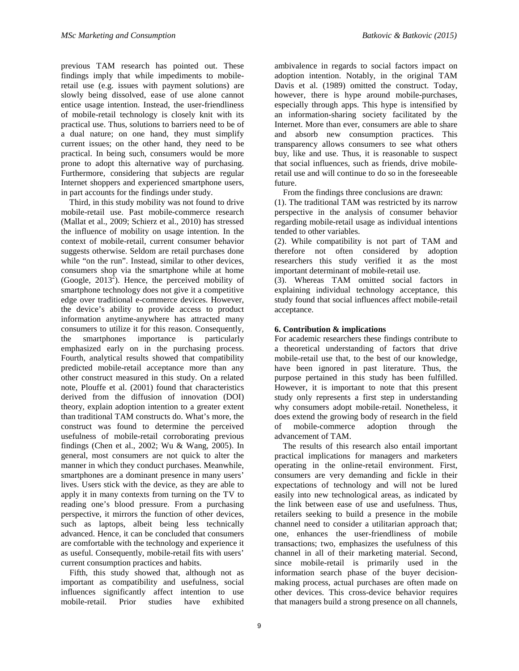previous TAM research has pointed out. These findings imply that while impediments to mobileretail use (e.g. issues with payment solutions) are slowly being dissolved, ease of use alone cannot entice usage intention. Instead, the user-friendliness of mobile-retail technology is closely knit with its practical use. Thus, solutions to barriers need to be of a dual nature; on one hand, they must simplify current issues; on the other hand, they need to be practical. In being such, consumers would be more prone to adopt this alternative way of purchasing. Furthermore, considering that subjects are regular Internet shoppers and experienced smartphone users, in part accounts for the findings under study.

 Third, in this study mobility was not found to drive mobile-retail use. Past mobile-commerce research (Mallat et al., 2009; Schierz et al., 2010) has stressed the influence of mobility on usage intention. In the context of mobile-retail, current consumer behavior suggests otherwise. Seldom are retail purchases done while "on the run". Instead, similar to other devices, consumers shop via the smartphone while at home (Google, 2013<sup>2</sup>). Hence, the perceived mobility of smartphone technology does not give it a competitive edge over traditional e-commerce devices. However, the device's ability to provide access to product information anytime-anywhere has attracted many consumers to utilize it for this reason. Consequently, the smartphones importance is particularly emphasized early on in the purchasing process. Fourth, analytical results showed that compatibility predicted mobile-retail acceptance more than any other construct measured in this study. On a related note, Plouffe et al. (2001) found that characteristics derived from the diffusion of innovation (DOI) theory, explain adoption intention to a greater extent than traditional TAM constructs do. What's more, the construct was found to determine the perceived usefulness of mobile-retail corroborating previous findings (Chen et al., 2002; Wu & Wang, 2005). In general, most consumers are not quick to alter the manner in which they conduct purchases. Meanwhile, smartphones are a dominant presence in many users' lives. Users stick with the device, as they are able to apply it in many contexts from turning on the TV to reading one's blood pressure. From a purchasing perspective, it mirrors the function of other devices, such as laptops, albeit being less technically advanced. Hence, it can be concluded that consumers are comfortable with the technology and experience it as useful. Consequently, mobile-retail fits with users' current consumption practices and habits.

 Fifth, this study showed that, although not as important as compatibility and usefulness, social influences significantly affect intention to use mobile-retail. Prior studies have exhibited

ambivalence in regards to social factors impact on adoption intention. Notably, in the original TAM Davis et al. (1989) omitted the construct. Today, however, there is hype around mobile-purchases, especially through apps. This hype is intensified by an information-sharing society facilitated by the Internet. More than ever, consumers are able to share and absorb new consumption practices. This transparency allows consumers to see what others buy, like and use. Thus, it is reasonable to suspect that social influences, such as friends, drive mobileretail use and will continue to do so in the foreseeable future.

From the findings three conclusions are drawn:

(1). The traditional TAM was restricted by its narrow perspective in the analysis of consumer behavior regarding mobile-retail usage as individual intentions tended to other variables.

(2). While compatibility is not part of TAM and therefore not often considered by adoption researchers this study verified it as the most important determinant of mobile-retail use.

(3). Whereas TAM omitted social factors in explaining individual technology acceptance, this study found that social influences affect mobile-retail acceptance.

#### **6. Contribution & implications**

For academic researchers these findings contribute to a theoretical understanding of factors that drive mobile-retail use that, to the best of our knowledge, have been ignored in past literature. Thus, the purpose pertained in this study has been fulfilled. However, it is important to note that this present study only represents a first step in understanding why consumers adopt mobile-retail. Nonetheless, it does extend the growing body of research in the field of mobile-commerce adoption through the advancement of TAM.

 The results of this research also entail important practical implications for managers and marketers operating in the online-retail environment. First, consumers are very demanding and fickle in their expectations of technology and will not be lured easily into new technological areas, as indicated by the link between ease of use and usefulness. Thus, retailers seeking to build a presence in the mobile channel need to consider a utilitarian approach that; one, enhances the user-friendliness of mobile transactions; two, emphasizes the usefulness of this channel in all of their marketing material. Second, since mobile-retail is primarily used in the information search phase of the buyer decisionmaking process, actual purchases are often made on other devices. This cross-device behavior requires that managers build a strong presence on all channels,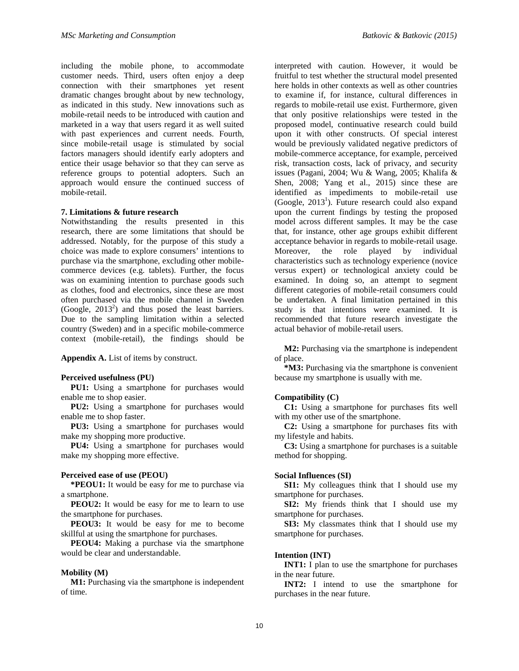including the mobile phone, to accommodate customer needs. Third, users often enjoy a deep connection with their smartphones yet resent dramatic changes brought about by new technology, as indicated in this study. New innovations such as mobile-retail needs to be introduced with caution and marketed in a way that users regard it as well suited with past experiences and current needs. Fourth, since mobile-retail usage is stimulated by social factors managers should identify early adopters and entice their usage behavior so that they can serve as reference groups to potential adopters. Such an approach would ensure the continued success of mobile-retail.

#### **7. Limitations & future research**

Notwithstanding the results presented in this research, there are some limitations that should be addressed. Notably, for the purpose of this study a choice was made to explore consumers' intentions to purchase via the smartphone, excluding other mobilecommerce devices (e.g. tablets). Further, the focus was on examining intention to purchase goods such as clothes, food and electronics, since these are most often purchased via the mobile channel in Sweden (Google,  $2013^2$ ) and thus posed the least barriers. Due to the sampling limitation within a selected country (Sweden) and in a specific mobile-commerce context (mobile-retail), the findings should be

**Appendix A.** List of items by construct.

#### **Perceived usefulness (PU)**

**PU1:** Using a smartphone for purchases would enable me to shop easier.

**PU2:** Using a smartphone for purchases would enable me to shop faster.

**PU3:** Using a smartphone for purchases would make my shopping more productive.

**PU4:** Using a smartphone for purchases would make my shopping more effective.

#### **Perceived ease of use (PEOU)**

**\*PEOU1:** It would be easy for me to purchase via a smartphone.

**PEOU2:** It would be easy for me to learn to use the smartphone for purchases.

**PEOU3:** It would be easy for me to become skillful at using the smartphone for purchases.

**PEOU4:** Making a purchase via the smartphone would be clear and understandable.

#### **Mobility (M)**

M1: Purchasing via the smartphone is independent of time.

interpreted with caution. However, it would be fruitful to test whether the structural model presented here holds in other contexts as well as other countries to examine if, for instance, cultural differences in regards to mobile-retail use exist. Furthermore, given that only positive relationships were tested in the proposed model, continuative research could build upon it with other constructs. Of special interest would be previously validated negative predictors of mobile-commerce acceptance, for example, perceived risk, transaction costs, lack of privacy, and security issues (Pagani, 2004; Wu & Wang, 2005; Khalifa & Shen, 2008; Yang et al., 2015) since these are identified as impediments to mobile-retail use (Google,  $2013<sup>1</sup>$ ). Future research could also expand upon the current findings by testing the proposed model across different samples. It may be the case that, for instance, other age groups exhibit different acceptance behavior in regards to mobile-retail usage.<br>Moreover, the role played by individual role played by characteristics such as technology experience (novice versus expert) or technological anxiety could be examined. In doing so, an attempt to segment different categories of mobile-retail consumers could be undertaken. A final limitation pertained in this study is that intentions were examined. It is recommended that future research investigate the actual behavior of mobile-retail users.

**M2:** Purchasing via the smartphone is independent of place.

**\*M3:** Purchasing via the smartphone is convenient because my smartphone is usually with me.

#### **Compatibility (C)**

**C1:** Using a smartphone for purchases fits well with my other use of the smartphone.

**C2:** Using a smartphone for purchases fits with my lifestyle and habits.

**C3:** Using a smartphone for purchases is a suitable method for shopping.

#### **Social Influences (SI)**

**SI1:** My colleagues think that I should use my smartphone for purchases.

**SI2:** My friends think that I should use my smartphone for purchases.

**SI3:** My classmates think that I should use my smartphone for purchases.

#### **Intention (INT)**

**INT1:** I plan to use the smartphone for purchases in the near future.

**INT2:** I intend to use the smartphone for purchases in the near future.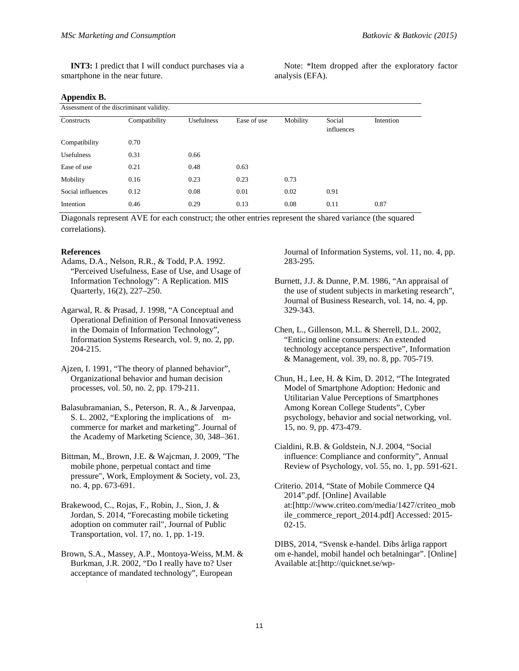**INT3:** I predict that I will conduct purchases via a smartphone in the near future.

Note: \*Item dropped after the exploratory factor analysis (EFA).

#### **Appendix B.**

| Assessment of the discriminant validity. |               |                   |             |          |                      |           |
|------------------------------------------|---------------|-------------------|-------------|----------|----------------------|-----------|
| Constructs                               | Compatibility | <b>Usefulness</b> | Ease of use | Mobility | Social<br>influences | Intention |
| Compatibility                            | 0.70          |                   |             |          |                      |           |
| <b>Usefulness</b>                        | 0.31          | 0.66              |             |          |                      |           |
| Ease of use                              | 0.21          | 0.48              | 0.63        |          |                      |           |
| Mobility                                 | 0.16          | 0.23              | 0.23        | 0.73     |                      |           |
| Social influences                        | 0.12          | 0.08              | 0.01        | 0.02     | 0.91                 |           |
| Intention                                | 0.46          | 0.29              | 0.13        | 0.08     | 0.11                 | 0.87      |

Diagonals represent AVE for each construct; the other entries represent the shared variance (the squared correlations).

#### **References**

- Adams, D.A., Nelson, R.R., & Todd, P.A. 1992. "Perceived Usefulness, Ease of Use, and Usage of Information Technology": A Replication. MIS Quarterly, 16(2), 227–250.
- Agarwal, R. & Prasad, J. 1998, "A Conceptual and Operational Definition of Personal Innovativeness in the Domain of Information Technology", Information Systems Research, vol. 9, no. 2, pp. 204-215.
- Ajzen, I. 1991, "The theory of planned behavior", Organizational behavior and human decision processes, vol. 50, no. 2, pp. 179-211.
- Balasubramanian, S., Peterson, R. A., & Jarvenpaa, S. L. 2002, "Exploring the implications of mcommerce for market and marketing". Journal of the Academy of Marketing Science, 30, 348–361.
- Bittman, M., Brown, J.E. & Wajcman, J. 2009, "The mobile phone, perpetual contact and time pressure", Work, Employment & Society, vol. 23, no. 4, pp. 673-691.
- Brakewood, C., Rojas, F., Robin, J., Sion, J. & Jordan, S. 2014, "Forecasting mobile ticketing adoption on commuter rail", Journal of Public Transportation, vol. 17, no. 1, pp. 1-19.
- Brown, S.A., Massey, A.P., Montoya-Weiss, M.M. & Burkman, J.R. 2002, "Do I really have to? User acceptance of mandated technology", European

Journal of Information Systems, vol. 11, no. 4, pp. 283-295.

- Burnett, J.J. & Dunne, P.M. 1986, "An appraisal of the use of student subjects in marketing research", Journal of Business Research, vol. 14, no. 4, pp. 329-343.
- Chen, L., Gillenson, M.L. & Sherrell, D.L. 2002, "Enticing online consumers: An extended technology acceptance perspective", Information & Management, vol. 39, no. 8, pp. 705-719.
- Chun, H., Lee, H. & Kim, D. 2012, "The Integrated Model of Smartphone Adoption: Hedonic and Utilitarian Value Perceptions of Smartphones Among Korean College Students", Cyber psychology, behavior and social networking, vol. 15, no. 9, pp. 473-479.
- Cialdini, R.B. & Goldstein, N.J. 2004, "Social influence: Compliance and conformity", Annual Review of Psychology, vol. 55, no. 1, pp. 591-621.
- Criterio. 2014, "State of Mobile Commerce Q4 2014".pdf. [Online] Available at:[http://www.criteo.com/media/1427/criteo\_mob ile\_commerce\_report\_2014.pdf] Accessed: 2015- 02-15.

DIBS, 2014, "Svensk e-handel. Dibs årliga rapport om e-handel, mobil handel och betalningar". [Online] Available at:[\[http://quicknet.se/wp-](http://quicknet.se/wp-%0ccontent/uploads/2014/11/DIBS_2014.pd)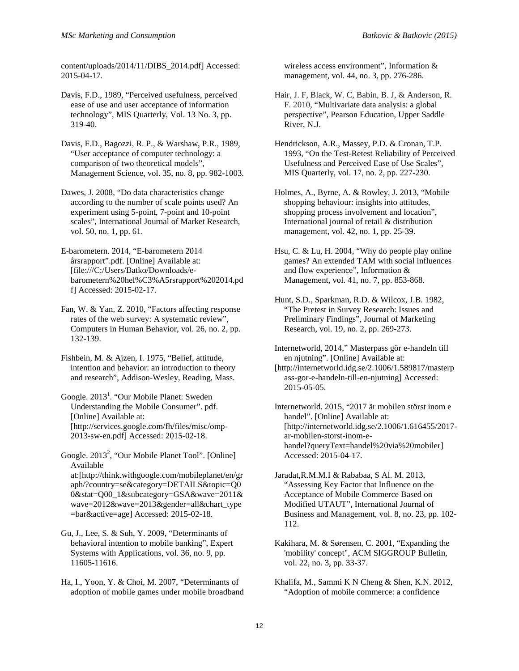[content/uploads/2014/11/DIBS\\_2014.pdf](http://quicknet.se/wp-%0ccontent/uploads/2014/11/DIBS_2014.pd)] Accessed: 2015-04-17.

Davis, F.D., 1989, "Perceived usefulness, perceived ease of use and user acceptance of information technology", MIS Quarterly, Vol. 13 No. 3, pp. 319-40.

Davis, F.D., Bagozzi, R. P., & Warshaw, P.R., 1989, "User acceptance of computer technology: a comparison of two theoretical models", Management Science, vol. 35, no. 8, pp. 982-1003.

Dawes, J. 2008, "Do data characteristics change according to the number of scale points used? An experiment using 5-point, 7-point and 10-point scales", International Journal of Market Research, vol. 50, no. 1, pp. 61.

E-barometern. 2014, "E-barometern 2014 årsrapport".pdf. [Online] Available at: [file:///C:/Users/Batko/Downloads/ebarometern%20hel%C3%A5rsrapport%202014.pd f] Accessed: 2015-02-17.

Fan, W. & Yan, Z. 2010, "Factors affecting response rates of the web survey: A systematic review", Computers in Human Behavior, vol. 26, no. 2, pp. 132-139.

Fishbein, M. & Ajzen, I. 1975, "Belief, attitude, intention and behavior: an introduction to theory and research", Addison-Wesley, Reading, Mass.

Google. 2013<sup>1</sup>. "Our Mobile Planet: Sweden Understanding the Mobile Consumer". pdf. [Online] Available at: [http://services.google.com/fh/files/misc/omp-2013-sw-en.pdf] Accessed: 2015-02-18.

Google. 2013<sup>2</sup>, "Our Mobile Planet Tool". [Online] Available at:[http://think.withgoogle.com/mobileplanet/en/gr aph/?country=se&category=DETAILS&topic=Q0 0&stat=Q00\_1&subcategory=GSA&wave=2011& wave=2012&wave=2013&gender=all&chart\_type =bar&active=age] Accessed: 2015-02-18.

Gu, J., Lee, S. & Suh, Y. 2009, "Determinants of behavioral intention to mobile banking", Expert Systems with Applications, vol. 36, no. 9, pp. 11605-11616.

Ha, I., Yoon, Y. & Choi, M. 2007, "Determinants of adoption of mobile games under mobile broadband wireless access environment", Information & management, vol. 44, no. 3, pp. 276-286.

- Hair, J. F, Black, W. C, Babin, B. J, & Anderson, R. F. 2010, "Multivariate data analysis: a global perspective", Pearson Education, Upper Saddle River, N.J.
- Hendrickson, A.R., Massey, P.D. & Cronan, T.P. 1993, "On the Test-Retest Reliability of Perceived Usefulness and Perceived Ease of Use Scales", MIS Quarterly, vol. 17, no. 2, pp. 227-230.

Holmes, A., Byrne, A. & Rowley, J. 2013, "Mobile shopping behaviour: insights into attitudes, shopping process involvement and location", International journal of retail & distribution management, vol. 42, no. 1, pp. 25-39.

- Hsu, C. & Lu, H. 2004, "Why do people play online games? An extended TAM with social influences and flow experience", Information & Management, vol. 41, no. 7, pp. 853-868.
- Hunt, S.D., Sparkman, R.D. & Wilcox, J.B. 1982, "The Pretest in Survey Research: Issues and Preliminary Findings", Journal of Marketing Research, vol. 19, no. 2, pp. 269-273.
- Internetworld, 2014," Masterpass gör e-handeln till en njutning". [Online] Available at:

[\[http://internetworld.idg.se/2.1006/1.589817/masterp](http://internetworld.idg.se/2.1006/1.589817/masterpass-gor-e-handeln-till-en-njutning) [ass-gor-e-handeln-till-en-njutning](http://internetworld.idg.se/2.1006/1.589817/masterpass-gor-e-handeln-till-en-njutning)] Accessed: 2015-05-05.

Internetworld, 2015, "2017 är mobilen störst inom e handel". [Online] Available at: [http://internetworld.idg.se/2.1006/1.616455/2017 ar-mobilen-storst-inom-ehandel?queryText=handel%20via%20mobiler] Accessed: 2015-04-17.

Jaradat,R.M.M.I & Rababaa, S Al. M. 2013, "Assessing Key Factor that Influence on the Acceptance of Mobile Commerce Based on Modified UTAUT", International Journal of Business and Management, vol. 8, no. 23, pp. 102- 112.

Kakihara, M. & Sørensen, C. 2001, "Expanding the 'mobility' concept", ACM SIGGROUP Bulletin, vol. 22, no. 3, pp. 33-37.

Khalifa, M., Sammi K N Cheng & Shen, K.N. 2012, "Adoption of mobile commerce: a confidence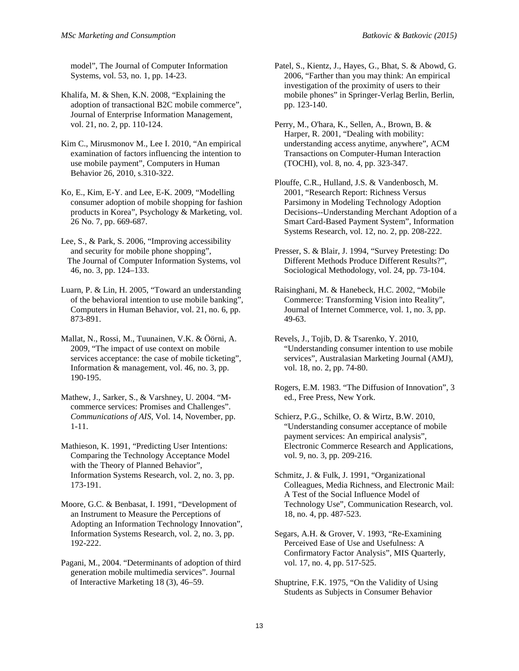model", The Journal of Computer Information Systems, vol. 53, no. 1, pp. 14-23.

Khalifa, M. & Shen, K.N. 2008, "Explaining the adoption of transactional B2C mobile commerce", Journal of Enterprise Information Management, vol. 21, no. 2, pp. 110-124.

Kim C., Mirusmonov M., Lee I. 2010, "An empirical examination of factors influencing the intention to use mobile payment", Computers in Human Behavior 26, 2010, s.310-322.

Ko, E., Kim, E-Y. and Lee, E-K. 2009, "Modelling consumer adoption of mobile shopping for fashion products in Korea", Psychology & Marketing, vol. 26 No. 7, pp. 669-687.

Lee, S., & Park, S. 2006, "Improving accessibility and security for mobile phone shopping", The Journal of Computer Information Systems, vol 46, no. 3, pp. 124–133.

Luarn, P. & Lin, H. 2005, "Toward an understanding of the behavioral intention to use mobile banking", Computers in Human Behavior, vol. 21, no. 6, pp. 873-891.

Mallat, N., Rossi, M., Tuunainen, V.K. & Öörni, A. 2009, "The impact of use context on mobile services acceptance: the case of mobile ticketing", Information & management, vol. 46, no. 3, pp. 190-195.

Mathew, J., Sarker, S., & Varshney, U. 2004. "Mcommerce services: Promises and Challenges". *Communications of AIS*, Vol. 14, November, pp. 1-11.

Mathieson, K. 1991, "Predicting User Intentions: Comparing the Technology Acceptance Model with the Theory of Planned Behavior", Information Systems Research, vol. 2, no. 3, pp. 173-191.

Moore, G.C. & Benbasat, I. 1991, "Development of an Instrument to Measure the Perceptions of Adopting an Information Technology Innovation", Information Systems Research, vol. 2, no. 3, pp. 192-222.

Pagani, M., 2004. "Determinants of adoption of third generation mobile multimedia services". Journal of Interactive Marketing 18 (3), 46–59.

Patel, S., Kientz, J., Hayes, G., Bhat, S. & Abowd, G. 2006, "Farther than you may think: An empirical investigation of the proximity of users to their mobile phones" in Springer-Verlag Berlin, Berlin, pp. 123-140.

Perry, M., O'hara, K., Sellen, A., Brown, B. & Harper, R. 2001, "Dealing with mobility: understanding access anytime, anywhere", ACM Transactions on Computer-Human Interaction (TOCHI), vol. 8, no. 4, pp. 323-347.

Plouffe, C.R., Hulland, J.S. & Vandenbosch, M. 2001, "Research Report: Richness Versus Parsimony in Modeling Technology Adoption Decisions--Understanding Merchant Adoption of a Smart Card-Based Payment System", Information Systems Research, vol. 12, no. 2, pp. 208-222.

Presser, S. & Blair, J. 1994, "Survey Pretesting: Do Different Methods Produce Different Results?", Sociological Methodology, vol. 24, pp. 73-104.

Raisinghani, M. & Hanebeck, H.C. 2002, "Mobile Commerce: Transforming Vision into Reality", Journal of Internet Commerce, vol. 1, no. 3, pp. 49-63.

Revels, J., Tojib, D. & Tsarenko, Y. 2010, "Understanding consumer intention to use mobile services", Australasian Marketing Journal (AMJ), vol. 18, no. 2, pp. 74-80.

Rogers, E.M. 1983. "The Diffusion of Innovation", 3 ed., Free Press, New York.

Schierz, P.G., Schilke, O. & Wirtz, B.W. 2010, "Understanding consumer acceptance of mobile payment services: An empirical analysis", Electronic Commerce Research and Applications, vol. 9, no. 3, pp. 209-216.

Schmitz, J. & Fulk, J. 1991, "Organizational Colleagues, Media Richness, and Electronic Mail: A Test of the Social Influence Model of Technology Use", Communication Research, vol. 18, no. 4, pp. 487-523.

Segars, A.H. & Grover, V. 1993, "Re-Examining Perceived Ease of Use and Usefulness: A Confirmatory Factor Analysis", MIS Quarterly, vol. 17, no. 4, pp. 517-525.

Shuptrine, F.K. 1975, "On the Validity of Using Students as Subjects in Consumer Behavior